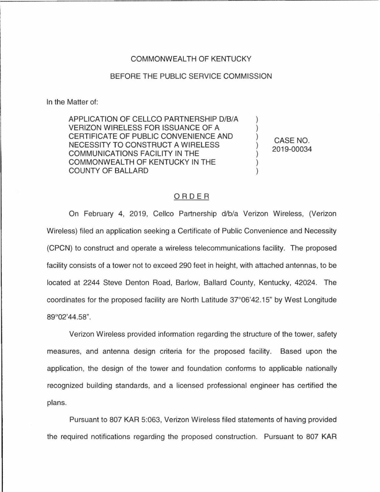## COMMONWEALTH OF KENTUCKY

## BEFORE THE PUBLIC SERVICE COMMISSION

In the Matter of:

APPLICATION OF CELLCO PARTNERSHIP D/B/A VERIZON WIRELESS FOR ISSUANCE OF A CERTIFICATE OF PUBLIC CONVENIENCE AND NECESSITY TO CONSTRUCT A WIRELESS COMMUNICATIONS FACILITY IN THE COMMONWEALTH OF KENTUCKY IN THE COUNTY OF BALLARD

CASE NO. 2019-00034

) ) ) ) ) ) )

## ORDER

On February 4, 2019, Cellco Partnership d/b/a Verizon Wireless, (Verizon Wireless) filed an application seeking a Certificate of Public Convenience and Necessity (CPCN) to construct and operate a wireless telecommunications facility. The proposed facility consists of a tower not to exceed 290 feet in height, with attached antennas, to be located at 2244 Steve Denton Road, Barlow, Ballard County, Kentucky, 42024. The coordinates for the proposed facility are North Latitude 37°06'42.15" by West Longitude 89°02'44.58".

Verizon Wireless provided information regarding the structure of the tower, safety measures, and antenna design criteria for the proposed facility. Based upon the application, the design of the tower and foundation conforms to applicable nationally recognized building standards, and a licensed professional engineer has certified the plans.

Pursuant to 807 KAR 5:063, Verizon Wireless filed statements of having provided the required notifications regarding the proposed construction. Pursuant to 807 KAR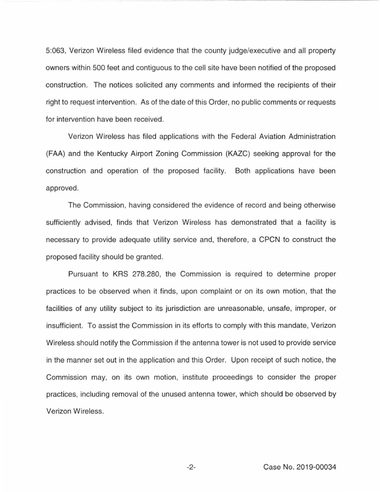5:063, Verizon Wireless filed evidence that the county judge/executive and all property owners within 500 feet and contiguous to the cell site have been notified of the proposed construction. The notices solicited any comments and informed the recipients of their right to request intervention. As of the date of this Order, no public comments or requests for intervention have been received.

Verizon Wireless has filed applications with the Federal Aviation Administration (FAA) and the Kentucky Airport Zoning Commission (KAZC) seeking approval for the construction and operation of the proposed facility. Both applications have been approved.

The Commission, having considered the evidence of record and being otherwise sufficiently advised, finds that Verizon Wireless has demonstrated that a facility is necessary to provide adequate utility service and, therefore, a CPCN to construct the proposed facility should be granted.

Pursuant to KRS 278.280, the Commission is required to determine proper practices to be observed when it finds, upon complaint or on its own motion, that the facilities of any utility subject to its jurisdiction are unreasonable, unsafe, improper, or insufficient. To assist the Commission in its efforts to comply with this mandate, Verizon Wireless should notify the Commission if the antenna tower is not used to provide service in the manner set out in the application and this Order. Upon receipt of such notice, the Commission may, on its own motion, institute proceedings to consider the proper practices, including removal of the unused antenna tower, which should be observed by Verizon Wireless.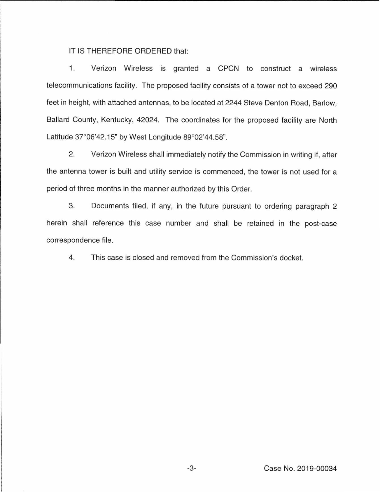IT IS THEREFORE ORDERED that:

1. Verizon Wireless is granted a CPCN to construct a wireless telecommunications facility. The proposed facility consists of a tower not to exceed 290 feet in height, with attached antennas, to be located at 2244 Steve Denton Road, Barlow, Ballard County, Kentucky, 42024. The coordinates for the proposed facility are North Latitude 37°06'42.15" by West Longitude 89°02'44.58".

2. Verizon Wireless shall immediately notify the Commission in writing if, after the antenna tower is built and utility service is commenced, the tower is not used for a period of three months in the manner authorized by this Order.

3. Documents filed, if any, in the future pursuant to ordering paragraph 2 herein shall reference this case number and shall be retained in the post-case correspondence file.

4. This case is closed and removed from the Commission's docket.

-3- Case No. 2019-00034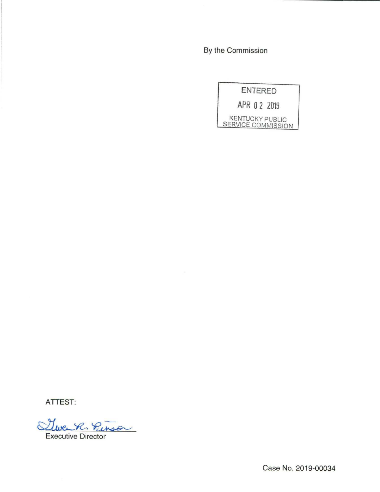By the Commission

| ENTERED      |                                              |
|--------------|----------------------------------------------|
| APR 0 2 2019 |                                              |
|              | <b>KENTUCKY PUBLIC</b><br>SERVICE COMMISSION |

**ATTEST:** 

Stwee R. Punso

Case No. 2019-00034